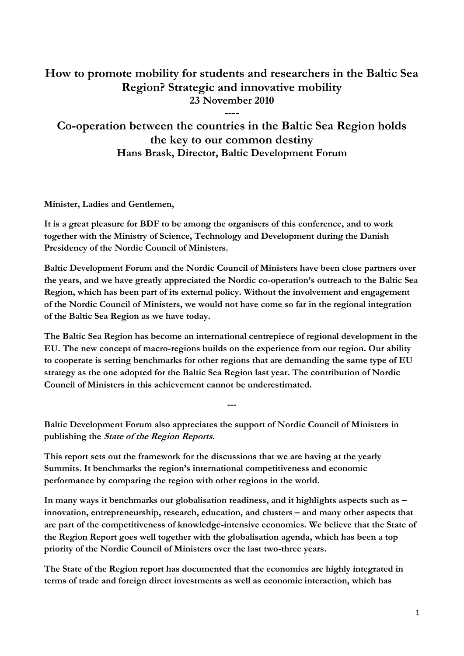## **How to promote mobility for students and researchers in the Baltic Sea Region? Strategic and innovative mobility 23 November 2010**

**Co-operation between the countries in the Baltic Sea Region holds the key to our common destiny Hans Brask, Director, Baltic Development Forum**

**----**

**Minister, Ladies and Gentlemen,**

**It is a great pleasure for BDF to be among the organisers of this conference, and to work together with the Ministry of Science, Technology and Development during the Danish Presidency of the Nordic Council of Ministers.**

**Baltic Development Forum and the Nordic Council of Ministers have been close partners over the years, and we have greatly appreciated the Nordic co-operation's outreach to the Baltic Sea Region, which has been part of its external policy. Without the involvement and engagement of the Nordic Council of Ministers, we would not have come so far in the regional integration of the Baltic Sea Region as we have today.** 

**The Baltic Sea Region has become an international centrepiece of regional development in the EU. The new concept of macro-regions builds on the experience from our region. Our ability to cooperate is setting benchmarks for other regions that are demanding the same type of EU strategy as the one adopted for the Baltic Sea Region last year. The contribution of Nordic Council of Ministers in this achievement cannot be underestimated.** 

**---**

**Baltic Development Forum also appreciates the support of Nordic Council of Ministers in publishing the State of the Region Reports.** 

**This report sets out the framework for the discussions that we are having at the yearly Summits. It benchmarks the region's international competitiveness and economic performance by comparing the region with other regions in the world.** 

**In many ways it benchmarks our globalisation readiness, and it highlights aspects such as – innovation, entrepreneurship, research, education, and clusters – and many other aspects that are part of the competitiveness of knowledge-intensive economies. We believe that the State of the Region Report goes well together with the globalisation agenda, which has been a top priority of the Nordic Council of Ministers over the last two-three years.**

**The State of the Region report has documented that the economies are highly integrated in terms of trade and foreign direct investments as well as economic interaction, which has**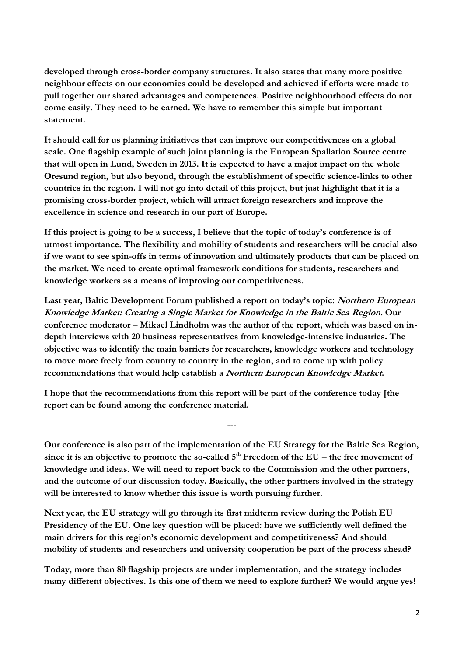**developed through cross-border company structures. It also states that many more positive neighbour effects on our economies could be developed and achieved if efforts were made to pull together our shared advantages and competences. Positive neighbourhood effects do not come easily. They need to be earned. We have to remember this simple but important statement.**

**It should call for us planning initiatives that can improve our competitiveness on a global scale. One flagship example of such joint planning is the European Spallation Source centre that will open in Lund, Sweden in 2013. It is expected to have a major impact on the whole Oresund region, but also beyond, through the establishment of specific science-links to other countries in the region. I will not go into detail of this project, but just highlight that it is a promising cross-border project, which will attract foreign researchers and improve the excellence in science and research in our part of Europe.**

**If this project is going to be a success, I believe that the topic of today's conference is of utmost importance. The flexibility and mobility of students and researchers will be crucial also if we want to see spin-offs in terms of innovation and ultimately products that can be placed on the market. We need to create optimal framework conditions for students, researchers and knowledge workers as a means of improving our competitiveness.**

**Last year, Baltic Development Forum published a report on today's topic: Northern European Knowledge Market: Creating a Single Market for Knowledge in the Baltic Sea Region. Our**  conference moderator – Mikael Lindholm was the author of the report, which was based on in**depth interviews with 20 business representatives from knowledge-intensive industries. The objective was to identify the main barriers for researchers, knowledge workers and technology to move more freely from country to country in the region, and to come up with policy recommendations that would help establish a Northern European Knowledge Market.**

**I hope that the recommendations from this report will be part of the conference today [the report can be found among the conference material.**

**Our conference is also part of the implementation of the EU Strategy for the Baltic Sea Region, since it is an objective to promote the so-called 5th Freedom of the EU – the free movement of knowledge and ideas. We will need to report back to the Commission and the other partners, and the outcome of our discussion today. Basically, the other partners involved in the strategy will be interested to know whether this issue is worth pursuing further.** 

**---**

**Next year, the EU strategy will go through its first midterm review during the Polish EU Presidency of the EU. One key question will be placed: have we sufficiently well defined the main drivers for this region's economic development and competitiveness? And should mobility of students and researchers and university cooperation be part of the process ahead?** 

**Today, more than 80 flagship projects are under implementation, and the strategy includes many different objectives. Is this one of them we need to explore further? We would argue yes!**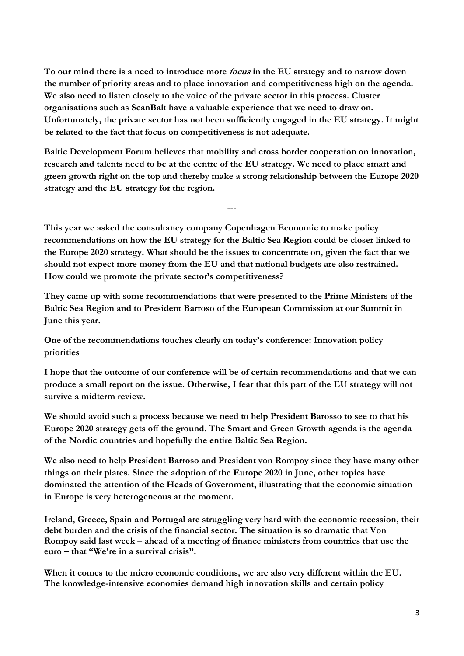**To our mind there is a need to introduce more focus in the EU strategy and to narrow down the number of priority areas and to place innovation and competitiveness high on the agenda. We also need to listen closely to the voice of the private sector in this process. Cluster organisations such as ScanBalt have a valuable experience that we need to draw on. Unfortunately, the private sector has not been sufficiently engaged in the EU strategy. It might be related to the fact that focus on competitiveness is not adequate.**

**Baltic Development Forum believes that mobility and cross border cooperation on innovation, research and talents need to be at the centre of the EU strategy. We need to place smart and green growth right on the top and thereby make a strong relationship between the Europe 2020 strategy and the EU strategy for the region.** 

**---**

**This year we asked the consultancy company Copenhagen Economic to make policy recommendations on how the EU strategy for the Baltic Sea Region could be closer linked to the Europe 2020 strategy. What should be the issues to concentrate on, given the fact that we should not expect more money from the EU and that national budgets are also restrained. How could we promote the private sector's competitiveness?**

**They came up with some recommendations that were presented to the Prime Ministers of the Baltic Sea Region and to President Barroso of the European Commission at our Summit in June this year.**

**One of the recommendations touches clearly on today's conference: Innovation policy priorities**

**I hope that the outcome of our conference will be of certain recommendations and that we can produce a small report on the issue. Otherwise, I fear that this part of the EU strategy will not survive a midterm review.**

**We should avoid such a process because we need to help President Barosso to see to that his Europe 2020 strategy gets off the ground. The Smart and Green Growth agenda is the agenda of the Nordic countries and hopefully the entire Baltic Sea Region.**

**We also need to help President Barroso and President von Rompoy since they have many other things on their plates. Since the adoption of the Europe 2020 in June, other topics have dominated the attention of the Heads of Government, illustrating that the economic situation in Europe is very heterogeneous at the moment.** 

**Ireland, Greece, Spain and Portugal are struggling very hard with the economic recession, their debt burden and the crisis of the financial sector. The situation is so dramatic that Von Rompoy said last week – ahead of a meeting of finance ministers from countries that use the euro – that "We're in a survival crisis".**

**When it comes to the micro economic conditions, we are also very different within the EU. The knowledge-intensive economies demand high innovation skills and certain policy**